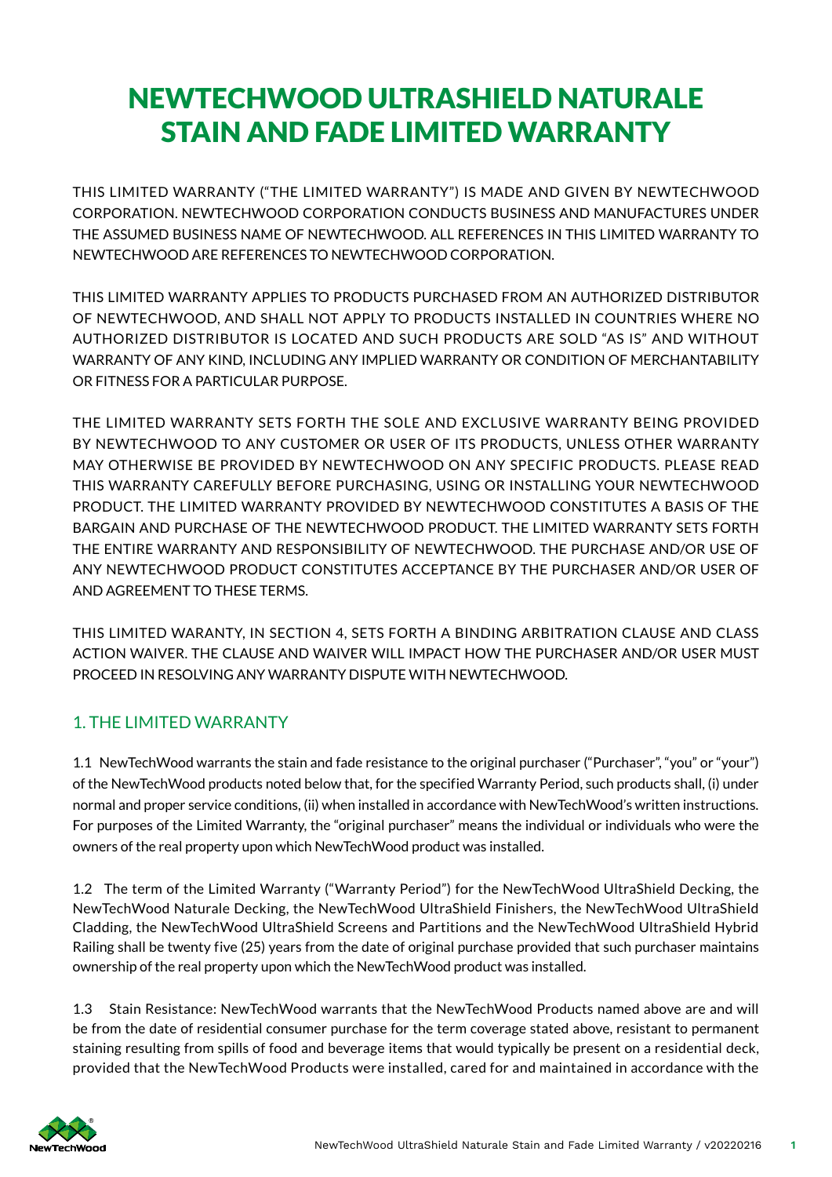# NEWTECHWOOD ULTRASHIELD NATURALE STAIN AND FADE LIMITED WARRANTY

THIS LIMITED WARRANTY ("THE LIMITED WARRANTY") IS MADE AND GIVEN BY NEWTECHWOOD CORPORATION. NEWTECHWOOD CORPORATION CONDUCTS BUSINESS AND MANUFACTURES UNDER THE ASSUMED BUSINESS NAME OF NEWTECHWOOD. ALL REFERENCES IN THIS LIMITED WARRANTY TO NEWTECHWOOD ARE REFERENCES TO NEWTECHWOOD CORPORATION.

THIS LIMITED WARRANTY APPLIES TO PRODUCTS PURCHASED FROM AN AUTHORIZED DISTRIBUTOR OF NEWTECHWOOD, AND SHALL NOT APPLY TO PRODUCTS INSTALLED IN COUNTRIES WHERE NO AUTHORIZED DISTRIBUTOR IS LOCATED AND SUCH PRODUCTS ARE SOLD "AS IS" AND WITHOUT WARRANTY OF ANY KIND, INCLUDING ANY IMPLIED WARRANTY OR CONDITION OF MERCHANTABILITY OR FITNESS FOR A PARTICULAR PURPOSE.

THE LIMITED WARRANTY SETS FORTH THE SOLE AND EXCLUSIVE WARRANTY BEING PROVIDED BY NEWTECHWOOD TO ANY CUSTOMER OR USER OF ITS PRODUCTS, UNLESS OTHER WARRANTY MAY OTHERWISE BE PROVIDED BY NEWTECHWOOD ON ANY SPECIFIC PRODUCTS. PLEASE READ THIS WARRANTY CAREFULLY BEFORE PURCHASING, USING OR INSTALLING YOUR NEWTECHWOOD PRODUCT. THE LIMITED WARRANTY PROVIDED BY NEWTECHWOOD CONSTITUTES A BASIS OF THE BARGAIN AND PURCHASE OF THE NEWTECHWOOD PRODUCT. THE LIMITED WARRANTY SETS FORTH THE ENTIRE WARRANTY AND RESPONSIBILITY OF NEWTECHWOOD. THE PURCHASE AND/OR USE OF ANY NEWTECHWOOD PRODUCT CONSTITUTES ACCEPTANCE BY THE PURCHASER AND/OR USER OF AND AGREEMENT TO THESE TERMS.

THIS LIMITED WARANTY, IN SECTION 4, SETS FORTH A BINDING ARBITRATION CLAUSE AND CLASS ACTION WAIVER. THE CLAUSE AND WAIVER WILL IMPACT HOW THE PURCHASER AND/OR USER MUST PROCEED IN RESOLVING ANY WARRANTY DISPUTE WITH NEWTECHWOOD.

## 1. THE LIMITED WARRANTY

1.1 NewTechWood warrants the stain and fade resistance to the original purchaser ("Purchaser", "you" or "your") of the NewTechWood products noted below that, for the specif ied Warranty Period, such products shall, (i) under normal and proper service conditions, (ii) when installed in accordance with NewTechWood's written instructions. For purposes of the Limited Warranty, the "original purchaser" means the individual or individuals who were the owners of the real property upon which NewTechWood product was installed.

1.2 The term of the Limited Warranty ("Warranty Period") for the NewTechWood UltraShield Decking, the NewTechWood Naturale Decking, the NewTechWood UltraShield Finishers, the NewTechWood UltraShield Cladding, the NewTechWood UltraShield Screens and Partitions and the NewTechWood UltraShield Hybrid Railing shall be twenty five (25) years from the date of original purchase provided that such purchaser maintains ownership of the real property upon which the NewTechWood product was installed.

1.3 Stain Resistance: NewTechWood warrants that the NewTechWood Products named above are and will be from the date of residential consumer purchase for the term coverage stated above, resistant to permanent staining resulting from spills of food and beverage items that would typically be present on a residential deck, provided that the NewTechWood Products were installed, cared for and maintained in accordance with the

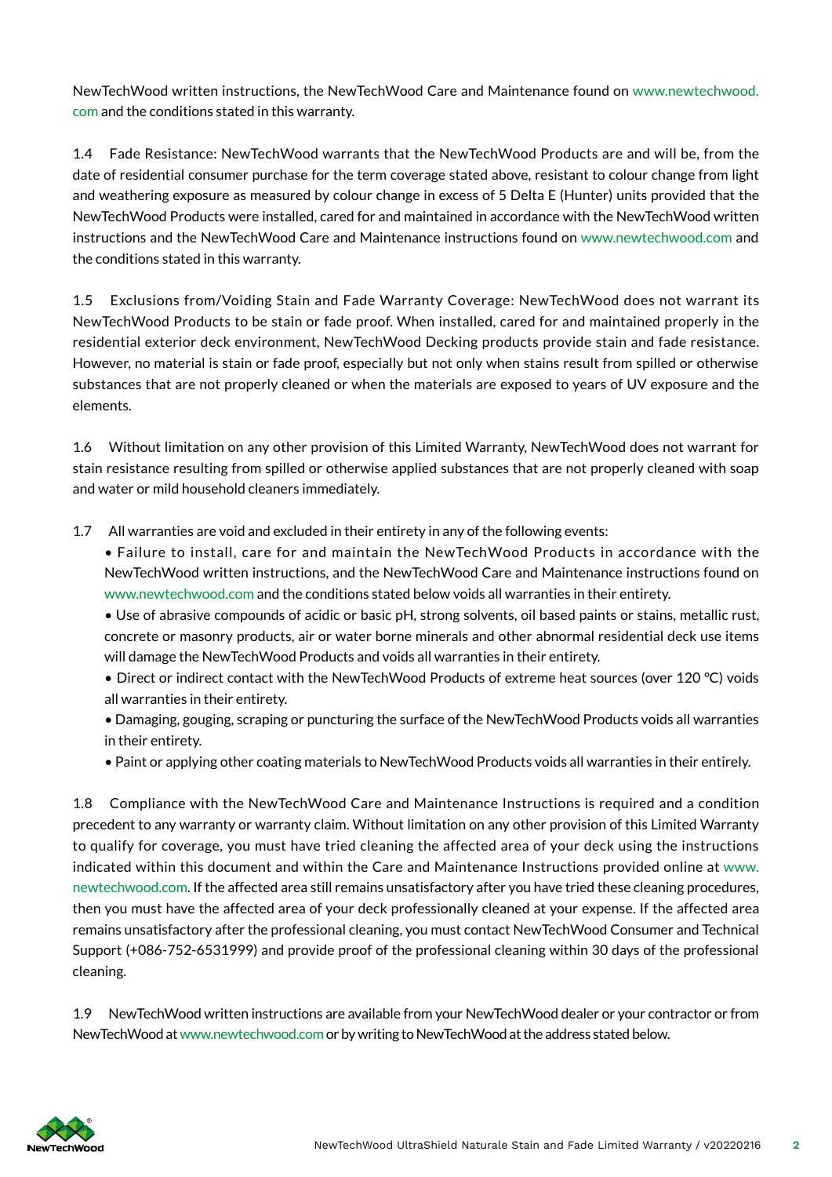NewTechWood written instructions, the NewTechWood Care and Maintenance found on www.newtechwood. com and the conditions stated in this warranty.

1.4 Fade Resistance: NewTechWood warrants that the NewTechWood Products are and will be, from the date of residential consumer purchase for the term coverage stated above, resistant to colour change from light and weathering exposure as measured by colour change in excess of 5 Delta E (Hunter) units provided that the NewTechWood Products were installed, cared for and maintained in accordance with the NewTechWood written instructions and the NewTechWood Care and Maintenance instructions found on www.newtechwood.com and the conditions stated in this warranty.

1.5 Exclusions from/Voiding Stain and Fade Warranty Coverage: NewTechWood does not warrant its NewTechWood Products to be stain or fade proof. When installed, cared for and maintained properly in the residential exterior deck environment, NewTechWood Decking products provide stain and fade resistance. However, no material is stain or fade proof, especially but not only when stains result from spilled or otherwise substances that are not properly cleaned or when the materials are exposed to years of UV exposure and the elements.

1.6 Without limitation on any other provision of this Limited Warranty, NewTechWood does not warrant for stain resistance resulting from spilled or otherwise applied substances that are not properly cleaned with soap and water or mild household cleaners immediately.

- 1.7 All warranties are void and excluded in their entirety in any of the following events:
	- Failure to install, care for and maintain the NewTechWood Products in accordance with the NewTechWood written instructions, and the NewTechWood Care and Maintenance instructions found on www.newtechwood.com and the conditions stated below voids all warranties in their entirety.

• Use of abrasive compounds of acidic or basic pH, strong solvents, oil based paints or stains, metallic rust, concrete or masonry products, air or water borne minerals and other abnormal residential deck use items will damage the NewTechWood Products and voids all warranties in their entirety.

- Direct or indirect contact with the NewTechWood Products of extreme heat sources (over 120 °C) voids all warranties in their entirety.
- Damaging, gouging, scraping or puncturing the surface of the NewTechWood Products voids all warranties in their entirety.
- Paint or applying other coating materials to NewTechWood Products voids all warranties in their entirely.

1.8 Compliance with the NewTechWood Care and Maintenance Instructions is required and a condition precedent to any warranty or warranty claim. Without limitation on any other provision of this Limited Warranty to qualify for coverage, you must have tried cleaning the affected area of your deck using the instructions indicated within this document and within the Care and Maintenance Instructions provided online at www. newtechwood.com. If the affected area still remains unsatisfactory after you have tried these cleaning procedures, then you must have the affected area of your deck professionally cleaned at your expense. If the affected area remains unsatisfactory after the professional cleaning, you must contact NewTechWood Consumer and Technical Support (+086-752-6531999) and provide proof of the professional cleaning within 30 days of the professional cleaning.

1.9 NewTechWood written instructions are available from your NewTechWood dealer or your contractor or from NewTechWood at www.newtechwood.com or by writing to NewTechWood at the address stated below.

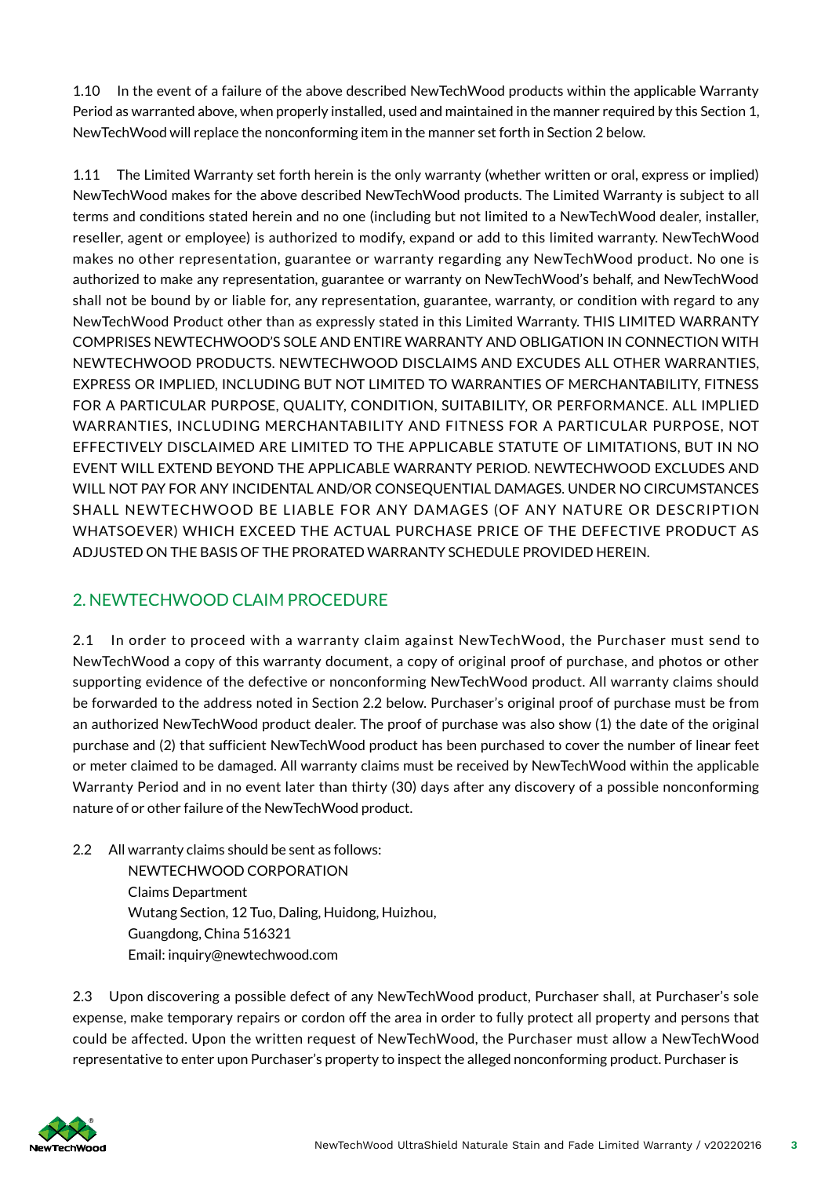1.10 In the event of a failure of the above described NewTechWood products within the applicable Warranty Period as warranted above, when properly installed, used and maintained in the manner required by this Section 1, NewTechWood will replace the nonconforming item in the manner set forth in Section 2 below.

1.11 The Limited Warranty set forth herein is the only warranty (whether written or oral, express or implied) NewTechWood makes for the above described NewTechWood products. The Limited Warranty is subject to all terms and conditions stated herein and no one (including but not limited to a NewTechWood dealer, installer, reseller, agent or employee) is authorized to modify, expand or add to this limited warranty. NewTechWood makes no other representation, guarantee or warranty regarding any NewTechWood product. No one is authorized to make any representation, guarantee or warranty on NewTechWood's behalf, and NewTechWood shall not be bound by or liable for, any representation, guarantee, warranty, or condition with regard to any NewTechWood Product other than as expressly stated in this Limited Warranty. THIS LIMITED WARRANTY COMPRISES NEWTECHWOOD'S SOLE AND ENTIRE WARRANTY AND OBLIGATION IN CONNECTION WITH NEWTECHWOOD PRODUCTS. NEWTECHWOOD DISCLAIMS AND EXCUDES ALL OTHER WARRANTIES, EXPRESS OR IMPLIED, INCLUDING BUT NOT LIMITED TO WARRANTIES OF MERCHANTABILITY, FITNESS FOR A PARTICULAR PURPOSE, QUALITY, CONDITION, SUITABILITY, OR PERFORMANCE. ALL IMPLIED WARRANTIES, INCLUDING MERCHANTABILITY AND FITNESS FOR A PARTICULAR PURPOSE, NOT EFFECTIVELY DISCLAIMED ARE LIMITED TO THE APPLICABLE STATUTE OF LIMITATIONS, BUT IN NO EVENT WILL EXTEND BEYOND THE APPLICABLE WARRANTY PERIOD. NEWTECHWOOD EXCLUDES AND WILL NOT PAY FOR ANY INCIDENTAL AND/OR CONSEQUENTIAL DAMAGES. UNDER NO CIRCUMSTANCES SHALL NEWTECHWOOD BE LIABLE FOR ANY DAMAGES (OF ANY NATURE OR DESCRIPTION WHATSOEVER) WHICH EXCEED THE ACTUAL PURCHASE PRICE OF THE DEFECTIVE PRODUCT AS ADJUSTED ON THE BASIS OF THE PRORATED WARRANTY SCHEDULE PROVIDED HEREIN.

## 2. NEWTECHWOOD CLAIM PROCEDURE

2.1 In order to proceed with a warranty claim against NewTechWood, the Purchaser must send to NewTechWood a copy of this warranty document, a copy of original proof of purchase, and photos or other supporting evidence of the defective or nonconforming NewTechWood product. All warranty claims should be forwarded to the address noted in Section 2.2 below. Purchaser's original proof of purchase must be from an authorized NewTechWood product dealer. The proof of purchase was also show (1) the date of the original purchase and (2) that sufficient NewTechWood product has been purchased to cover the number of linear feet or meter claimed to be damaged. All warranty claims must be received by NewTechWood within the applicable Warranty Period and in no event later than thirty (30) days after any discovery of a possible nonconforming nature of or other failure of the NewTechWood product.

2.2 All warranty claims should be sent as follows:

NEWTECHWOOD CORPORATION Claims Department Wutang Section, 12 Tuo, Daling, Huidong, Huizhou, Guangdong, China 516321 Email: inquiry@newtechwood.com

2.3 Upon discovering a possible defect of any NewTechWood product, Purchaser shall, at Purchaser's sole expense, make temporary repairs or cordon off the area in order to fully protect all property and persons that could be affected. Upon the written request of NewTechWood, the Purchaser must allow a NewTechWood representative to enter upon Purchaser's property to inspect the alleged nonconforming product. Purchaser is

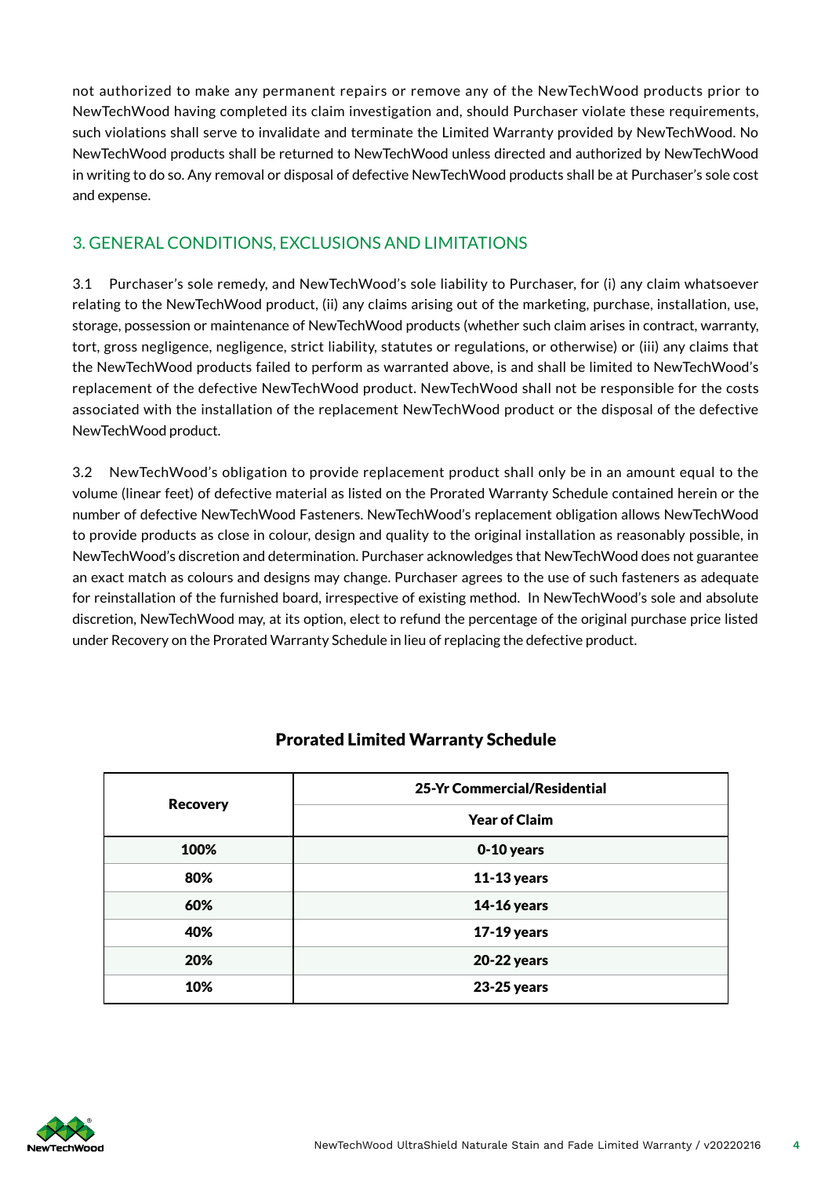not authorized to make any permanent repairs or remove any of the NewTechWood products prior to NewTechWood having completed its claim investigation and, should Purchaser violate these requirements, such violations shall serve to invalidate and terminate the Limited Warranty provided by NewTechWood. No NewTechWood products shall be returned to NewTechWood unless directed and authorized by NewTechWood in writing to do so. Any removal or disposal of defective NewTechWood products shall be at Purchaser's sole cost and expense.

### 3. GENERAL CONDITIONS, EXCLUSIONS AND LIMITATIONS

3.1 Purchaser's sole remedy, and NewTechWood's sole liability to Purchaser, for (i) any claim whatsoever relating to the NewTechWood product, (ii) any claims arising out of the marketing, purchase, installation, use, storage, possession or maintenance of NewTechWood products (whether such claim arises in contract, warranty, tort, gross negligence, negligence, strict liability, statutes or regulations, or otherwise) or (iii) any claims that the NewTechWood products failed to perform as warranted above, is and shall be limited to NewTechWood's replacement of the defective NewTechWood product. NewTechWood shall not be responsible for the costs associated with the installation of the replacement NewTechWood product or the disposal of the defective NewTechWood product.

3.2 NewTechWood's obligation to provide replacement product shall only be in an amount equal to the volume (linear feet) of defective material as listed on the Prorated Warranty Schedule contained herein or the number of defective NewTechWood Fasteners. NewTechWood's replacement obligation allows NewTechWood to provide products as close in colour, design and quality to the original installation as reasonably possible, in NewTechWood's discretion and determination. Purchaser acknowledges that NewTechWood does not guarantee an exact match as colours and designs may change. Purchaser agrees to the use of such fasteners as adequate for reinstallation of the furnished board, irrespective of existing method. In NewTechWood's sole and absolute discretion, NewTechWood may, at its option, elect to refund the percentage of the original purchase price listed under Recovery on the Prorated Warranty Schedule in lieu of replacing the defective product.

| <b>Recovery</b> | 25-Yr Commercial/Residential |
|-----------------|------------------------------|
|                 | <b>Year of Claim</b>         |
| 100%            | 0-10 years                   |
| 80%             | $11-13$ years                |
| 60%             | <b>14-16 years</b>           |
| 40%             | <b>17-19 years</b>           |
| 20%             | 20-22 years                  |
| 10%             | <b>23-25 years</b>           |

#### Prorated Limited Warranty Schedule

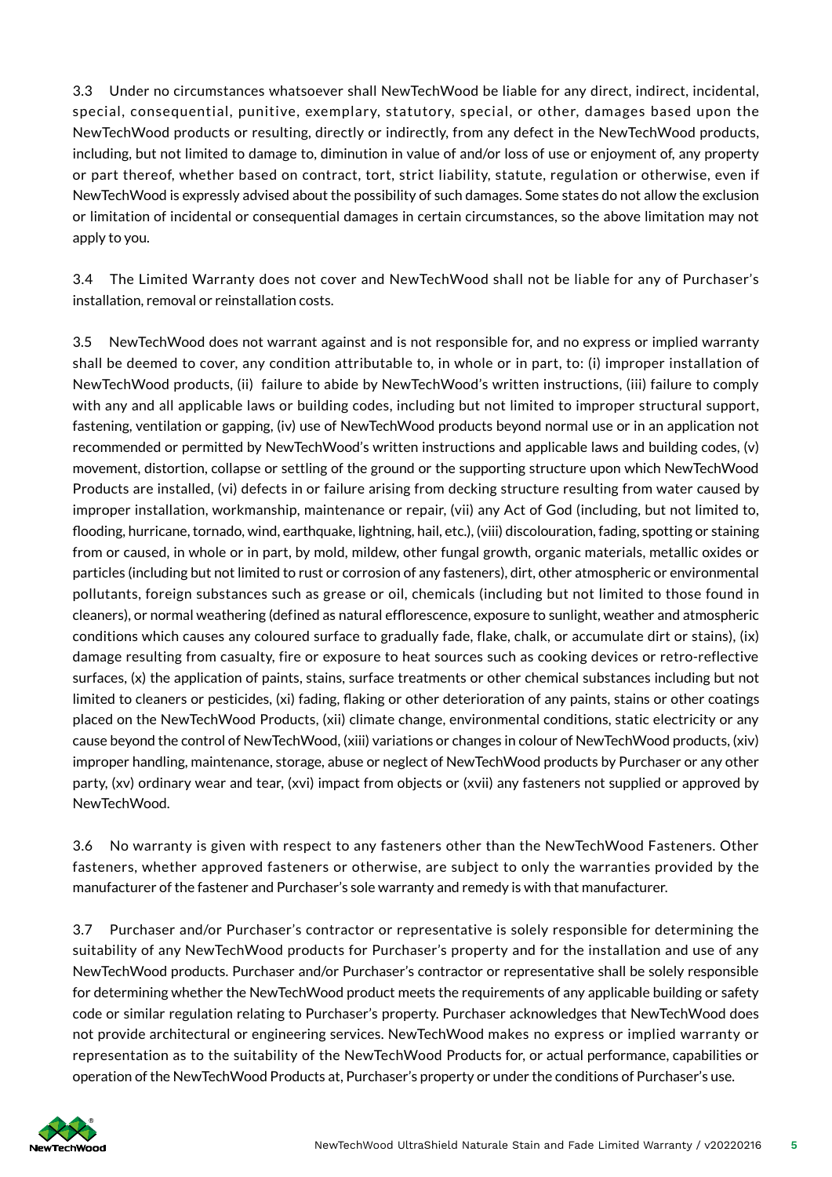3.3 Under no circumstances whatsoever shall NewTechWood be liable for any direct, indirect, incidental, special, consequential, punitive, exemplary, statutory, special, or other, damages based upon the NewTechWood products or resulting, directly or indirectly, from any defect in the NewTechWood products, including, but not limited to damage to, diminution in value of and/or loss of use or enjoyment of, any property or part thereof, whether based on contract, tort, strict liability, statute, regulation or otherwise, even if NewTechWood is expressly advised about the possibility of such damages. Some states do not allow the exclusion or limitation of incidental or consequential damages in certain circumstances, so the above limitation may not apply to you.

3.4 The Limited Warranty does not cover and NewTechWood shall not be liable for any of Purchaser's installation, removal or reinstallation costs.

3.5 NewTechWood does not warrant against and is not responsible for, and no express or implied warranty shall be deemed to cover, any condition attributable to, in whole or in part, to: (i) improper installation of NewTechWood products, (ii) failure to abide by NewTechWood's written instructions, (iii) failure to comply with any and all applicable laws or building codes, including but not limited to improper structural support, fastening, ventilation or gapping, (iv) use of NewTechWood products beyond normal use or in an application not recommended or permitted by NewTechWood's written instructions and applicable laws and building codes, (v) movement, distortion, collapse or settling of the ground or the supporting structure upon which NewTechWood Products are installed, (vi) defects in or failure arising from decking structure resulting from water caused by improper installation, workmanship, maintenance or repair, (vii) any Act of God (including, but not limited to, flooding, hurricane, tornado, wind, earthquake, lightning, hail, etc.), (viii) discolouration, fading, spotting or staining from or caused, in whole or in part, by mold, mildew, other fungal growth, organic materials, metallic oxides or particles (including but not limited to rust or corrosion of any fasteners), dirt, other atmospheric or environmental pollutants, foreign substances such as grease or oil, chemicals (including but not limited to those found in cleaners), or normal weathering (def ined as natural efflorescence, exposure to sunlight, weather and atmospheric conditions which causes any coloured surface to gradually fade, flake, chalk, or accumulate dirt or stains), (ix) damage resulting from casualty, fire or exposure to heat sources such as cooking devices or retro-reflective surfaces, (x) the application of paints, stains, surface treatments or other chemical substances including but not limited to cleaners or pesticides, (xi) fading, flaking or other deterioration of any paints, stains or other coatings placed on the NewTechWood Products, (xii) climate change, environmental conditions, static electricity or any cause beyond the control of NewTechWood, (xiii) variations or changes in colour of NewTechWood products, (xiv) improper handling, maintenance, storage, abuse or neglect of NewTechWood products by Purchaser or any other party, (xv) ordinary wear and tear, (xvi) impact from objects or (xvii) any fasteners not supplied or approved by NewTechWood.

3.6 No warranty is given with respect to any fasteners other than the NewTechWood Fasteners. Other fasteners, whether approved fasteners or otherwise, are subject to only the warranties provided by the manufacturer of the fastener and Purchaser's sole warranty and remedy is with that manufacturer.

3.7 Purchaser and/or Purchaser's contractor or representative is solely responsible for determining the suitability of any NewTechWood products for Purchaser's property and for the installation and use of any NewTechWood products. Purchaser and/or Purchaser's contractor or representative shall be solely responsible for determining whether the NewTechWood product meets the requirements of any applicable building or safety code or similar regulation relating to Purchaser's property. Purchaser acknowledges that NewTechWood does not provide architectural or engineering services. NewTechWood makes no express or implied warranty or representation as to the suitability of the NewTechWood Products for, or actual performance, capabilities or operation of the NewTechWood Products at, Purchaser's property or under the conditions of Purchaser's use.

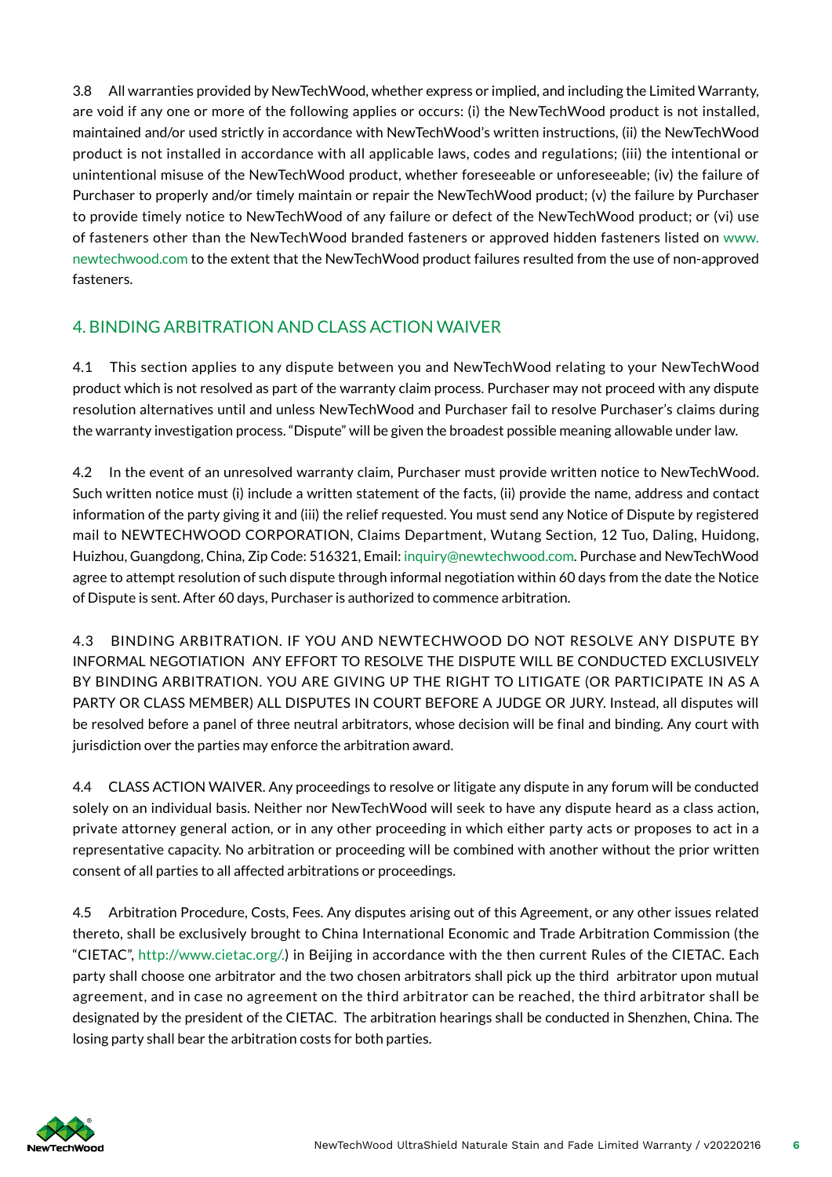3.8 All warranties provided by NewTechWood, whether express or implied, and including the Limited Warranty, are void if any one or more of the following applies or occurs: (i) the NewTechWood product is not installed, maintained and/or used strictly in accordance with NewTechWood's written instructions, (ii) the NewTechWood product is not installed in accordance with all applicable laws, codes and regulations; (iii) the intentional or unintentional misuse of the NewTechWood product, whether foreseeable or unforeseeable; (iv) the failure of Purchaser to properly and/or timely maintain or repair the NewTechWood product; (v) the failure by Purchaser to provide timely notice to NewTechWood of any failure or defect of the NewTechWood product; or (vi) use of fasteners other than the NewTechWood branded fasteners or approved hidden fasteners listed on www. newtechwood.com to the extent that the NewTechWood product failures resulted from the use of non-approved fasteners.

### 4. BINDING ARBITRATION AND CLASS ACTION WAIVER

4.1 This section applies to any dispute between you and NewTechWood relating to your NewTechWood product which is not resolved as part of the warranty claim process. Purchaser may not proceed with any dispute resolution alternatives until and unless NewTechWood and Purchaser fail to resolve Purchaser's claims during the warranty investigation process. "Dispute" will be given the broadest possible meaning allowable under law.

4.2 In the event of an unresolved warranty claim, Purchaser must provide written notice to NewTechWood. Such written notice must (i) include a written statement of the facts, (ii) provide the name, address and contact information of the party giving it and (iii) the relief requested. You must send any Notice of Dispute by registered mail to NEWTECHWOOD CORPORATION, Claims Department, Wutang Section, 12 Tuo, Daling, Huidong, Huizhou, Guangdong, China, Zip Code: 516321, Email: inquiry@newtechwood.com. Purchase and NewTechWood agree to attempt resolution of such dispute through informal negotiation within 60 days from the date the Notice of Dispute is sent. After 60 days, Purchaser is authorized to commence arbitration.

4.3 BINDING ARBITRATION. IF YOU AND NEWTECHWOOD DO NOT RESOLVE ANY DISPUTE BY INFORMAL NEGOTIATION ANY EFFORT TO RESOLVE THE DISPUTE WILL BE CONDUCTED EXCLUSIVELY BY BINDING ARBITRATION. YOU ARE GIVING UP THE RIGHT TO LITIGATE (OR PARTICIPATE IN AS A PARTY OR CLASS MEMBER) ALL DISPUTES IN COURT BEFORE A JUDGE OR JURY. Instead, all disputes will be resolved before a panel of three neutral arbitrators, whose decision will be final and binding. Any court with jurisdiction over the parties may enforce the arbitration award.

4.4 CLASS ACTION WAIVER. Any proceedings to resolve or litigate any dispute in any forum will be conducted solely on an individual basis. Neither nor NewTechWood will seek to have any dispute heard as a class action, private attorney general action, or in any other proceeding in which either party acts or proposes to act in a representative capacity. No arbitration or proceeding will be combined with another without the prior written consent of all parties to all affected arbitrations or proceedings.

4.5 Arbitration Procedure, Costs, Fees. Any disputes arising out of this Agreement, or any other issues related thereto, shall be exclusively brought to China International Economic and Trade Arbitration Commission (the "CIETAC", http://www.cietac.org/.) in Beijing in accordance with the then current Rules of the CIETAC. Each party shall choose one arbitrator and the two chosen arbitrators shall pick up the third arbitrator upon mutual agreement, and in case no agreement on the third arbitrator can be reached, the third arbitrator shall be designated by the president of the CIETAC. The arbitration hearings shall be conducted in Shenzhen, China. The losing party shall bear the arbitration costs for both parties.